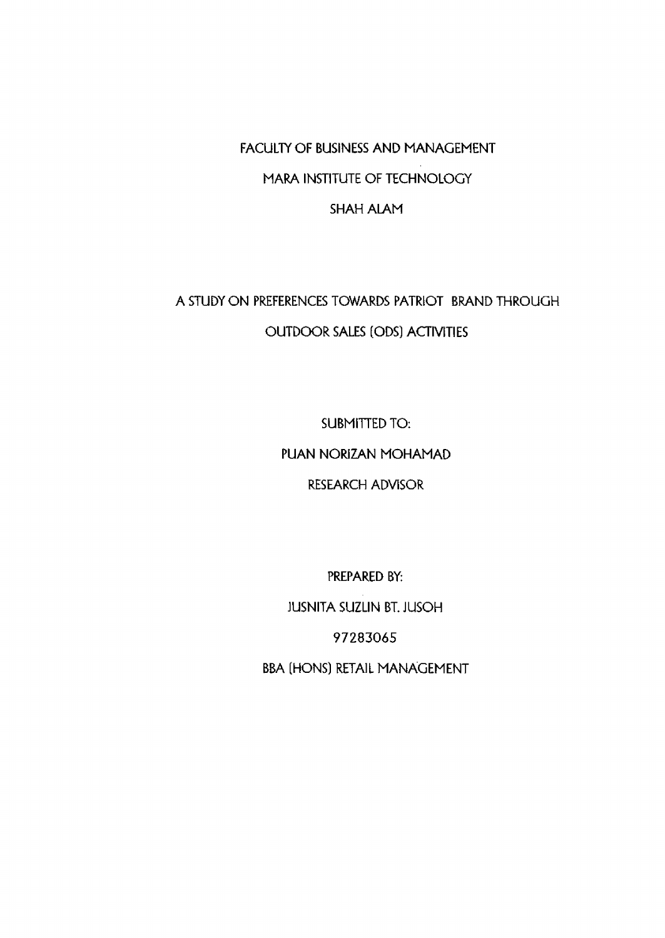FACULTY OF BUSINESS AND MANAGEMENT MARA INSTITUTE OF TECHNOLOGY SHAH ALAM

A STUDY ON PREFERENCES TOWARDS PATRIOT BRAND THROUGH OUTDOOR SALES (ODS) ACTIVITIES

> SUBMITTED TO: PUAN NORiZAN MOHAMAD RESEARCH ADVISOR

PREPARED BY: JUSNITA SUZLIN BT. JUSOH 97283065 BBA (HONS) RETAIL MANAGEMENT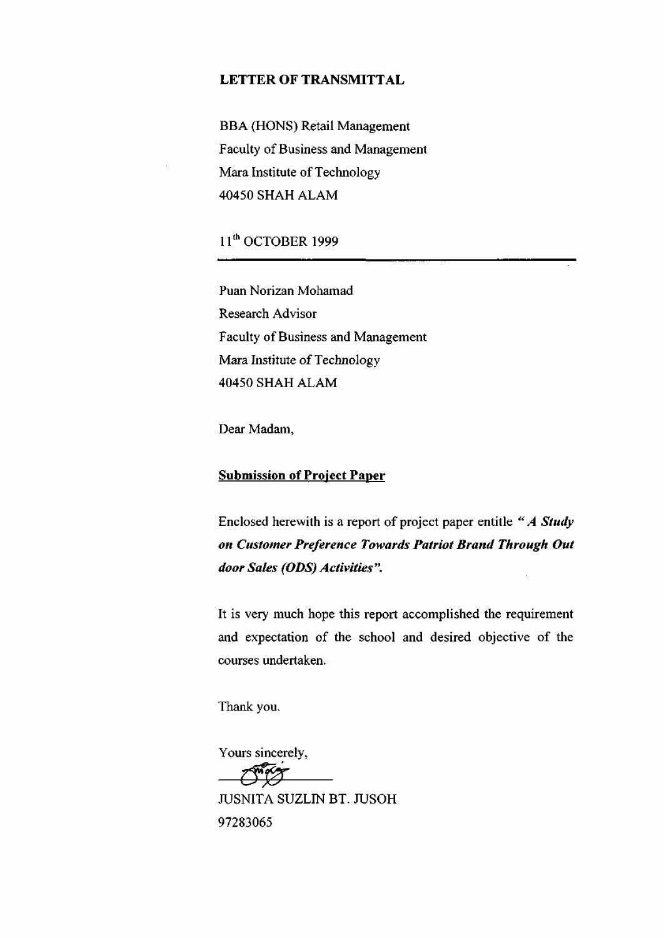#### **LETTER OF TRANSMITTAL**

BBA (HONS) Retail Management Faculty of Business and Management Mara Institute of Technology 40450 SHAH ALAM

11th OCTOBER 1999

Puan Norizan Mohamad Research Advisor Faculty of Business and Management Mara Institute of Technology 40450 SHAH ALAM

Dear Madam,

#### **Submission of Project Paper**

Enclosed herewith is a report of project paper **entitle** *"A Study on Customer Preference Towards Patriot Brand Through Out door Sales (ODS) Activities ".* 

It is very much hope this report accomplished the requirement and expectation of the school and desired objective of the courses undertaken.

Thank you.

Yours sincerely,  ${\cal O}^*$ t ${\cal T}$ JUSNITA SUZLIN BT. JUSOH 97283065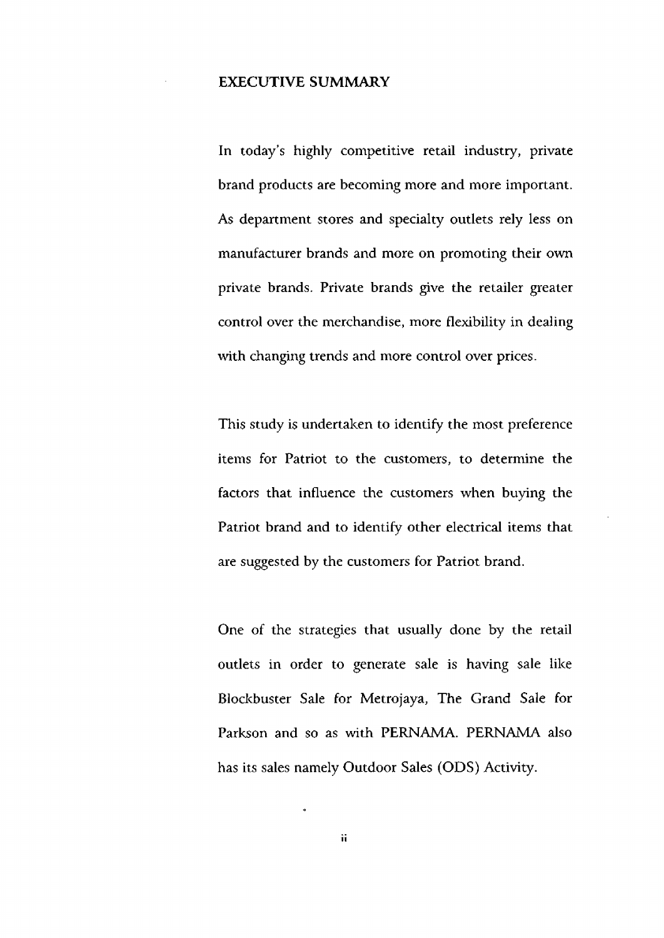### **EXECUTIVE SUMMARY**

**In** today's highly competitive retail industry, private brand products are becoming more and more important. As department stores and specialty outlets rely less on manufacturer brands and more on promoting their own private brands. Private brands give the retailer greater control over the merchandise, more flexibility in dealing with changing trends and more control over prices.

This study is undertaken to identify the most preference items for Patriot to the customers, to determine the factors that influence the customers when buying the Patriot brand and to identify other electrical items that are suggested by the customers for Patriot brand.

One of the strategies that usually done by the retail outlets in order to generate sale is having sale like Blockbuster Sale for Metrojaya, The Grand Sale for Parkson and so as with PERNAMA. PERNAMA also has its sales namely Outdoor Sales (ODS) Activity.

**11** 

 $\ddot{\bullet}$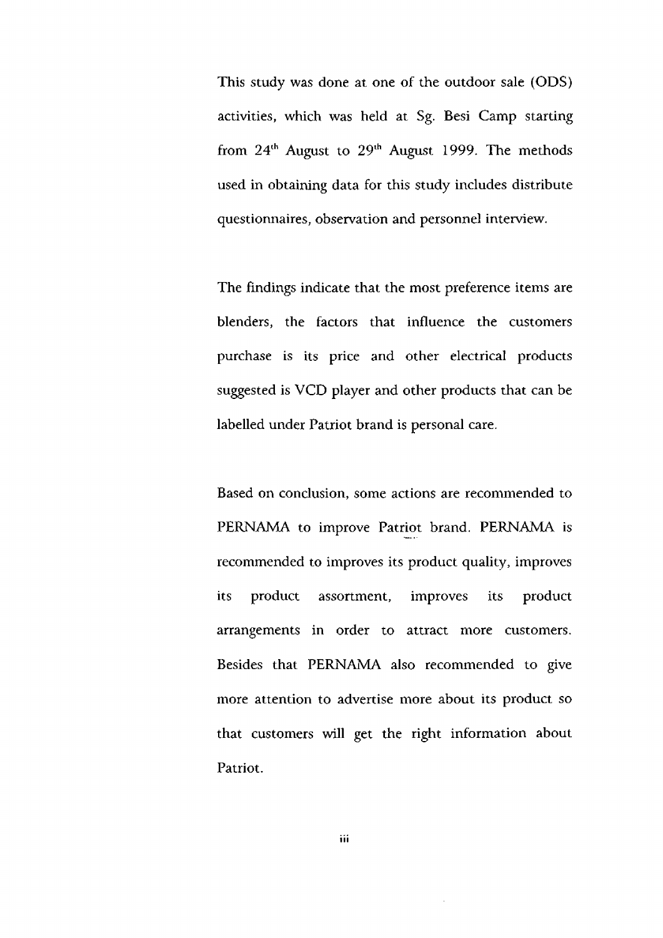This study was done at one of the outdoor sale (ODS) activities, which was held at Sg. Besi Camp starting from  $24<sup>th</sup>$  August to  $29<sup>th</sup>$  August 1999. The methods used in obtaining data for this study includes distribute questionnaires, observation and personnel interview.

The findings indicate that the most preference items are blenders, the factors that influence the customers purchase is its price and other electrical products suggested is VCD player and other products that can be labelled under Patriot brand is personal care.

Based on conclusion, some actions are recommended to PERNAMA to improve Patriot brand. PERNAMA is recommended to improves its product quality, improves its product assortment, improves its product arrangements in order to attract more customers. Besides that PERNAMA also recommended to give more attention to advertise more about its product so that customers will get the right information about Patriot.